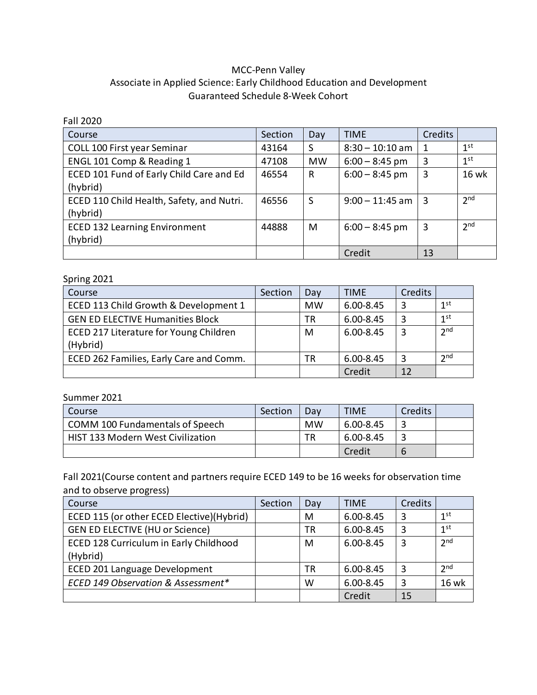## MCC-Penn Valley Associate in Applied Science: Early Childhood Education and Development Guaranteed Schedule 8-Week Cohort

| <b>Fall 2020</b>                          |         |           |                   |                |                 |
|-------------------------------------------|---------|-----------|-------------------|----------------|-----------------|
| Course                                    | Section | Day       | <b>TIME</b>       | <b>Credits</b> |                 |
| COLL 100 First year Seminar               | 43164   | S         | $8:30 - 10:10$ am | 1              | 1 <sup>st</sup> |
| ENGL 101 Comp & Reading 1                 | 47108   | <b>MW</b> | $6:00 - 8:45$ pm  | 3              | 1 <sup>st</sup> |
| ECED 101 Fund of Early Child Care and Ed  | 46554   | R         | $6:00 - 8:45$ pm  | 3              | <b>16 wk</b>    |
| (hybrid)                                  |         |           |                   |                |                 |
| ECED 110 Child Health, Safety, and Nutri. | 46556   | S         | $9:00 - 11:45$ am | 3              | 2 <sub>nd</sub> |
| (hybrid)                                  |         |           |                   |                |                 |
| <b>ECED 132 Learning Environment</b>      | 44888   | M         | $6:00 - 8:45$ pm  | 3              | 2 <sub>nd</sub> |
| (hybrid)                                  |         |           |                   |                |                 |
|                                           |         |           | Credit            | 13             |                 |

## Spring 2021

| ້<br>Course                             | Section | Day       | <b>TIME</b>   | Credits |                 |
|-----------------------------------------|---------|-----------|---------------|---------|-----------------|
| ECED 113 Child Growth & Development 1   |         | <b>MW</b> | $6.00 - 8.45$ | 3       | 1 <sup>st</sup> |
| <b>GEN ED ELECTIVE Humanities Block</b> |         | ТR        | $6.00 - 8.45$ | 3       | 1 <sup>st</sup> |
| ECED 217 Literature for Young Children  |         | M         | $6.00 - 8.45$ | 3       | 2 <sub>nd</sub> |
| (Hybrid)                                |         |           |               |         |                 |
| ECED 262 Families, Early Care and Comm. |         | ТR        | $6.00 - 8.45$ | 3       | 2 <sub>nd</sub> |
|                                         |         |           | Credit        | 12      |                 |

## Summer 2021

| Course                                   | Section | Dav | <b>TIME</b> | Credits |  |
|------------------------------------------|---------|-----|-------------|---------|--|
| COMM 100 Fundamentals of Speech          |         | MW  | 6.00-8.45   |         |  |
| <b>HIST 133 Modern West Civilization</b> |         | ΤR  | 6.00-8.45   |         |  |
|                                          |         |     | Credit      | b       |  |

Fall 2021(Course content and partners require ECED 149 to be 16 weeks for observation time and to observe progress)

| Course                                    | Section | Day | <b>TIME</b>   | Credits |                 |
|-------------------------------------------|---------|-----|---------------|---------|-----------------|
| ECED 115 (or other ECED Elective)(Hybrid) |         | M   | $6.00 - 8.45$ | 3       | 1 <sup>st</sup> |
| <b>GEN ED ELECTIVE (HU or Science)</b>    |         | TR  | $6.00 - 8.45$ | 3       | 1 <sup>st</sup> |
| ECED 128 Curriculum in Early Childhood    |         | M   | $6.00 - 8.45$ | 3       | 2 <sub>nd</sub> |
| (Hybrid)                                  |         |     |               |         |                 |
| ECED 201 Language Development             |         | TR  | 6.00-8.45     | 3       | 2 <sub>nd</sub> |
| ECED 149 Observation & Assessment*        |         | W   | $6.00 - 8.45$ | 3       | <b>16 wk</b>    |
|                                           |         |     | Credit        | 15      |                 |